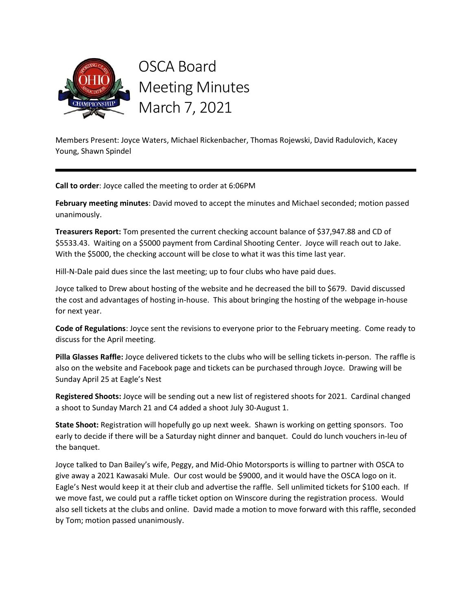

OSCA Board Meeting Minutes March 7, 2021

Members Present: Joyce Waters, Michael Rickenbacher, Thomas Rojewski, David Radulovich, Kacey Young, Shawn Spindel

Call to order: Joyce called the meeting to order at 6:06PM

February meeting minutes: David moved to accept the minutes and Michael seconded; motion passed unanimously.

Treasurers Report: Tom presented the current checking account balance of \$37,947.88 and CD of \$5533.43. Waiting on a \$5000 payment from Cardinal Shooting Center. Joyce will reach out to Jake. With the \$5000, the checking account will be close to what it was this time last year.

Hill-N-Dale paid dues since the last meeting; up to four clubs who have paid dues.

Joyce talked to Drew about hosting of the website and he decreased the bill to \$679. David discussed the cost and advantages of hosting in-house. This about bringing the hosting of the webpage in-house for next year.

Code of Regulations: Joyce sent the revisions to everyone prior to the February meeting. Come ready to discuss for the April meeting.

Pilla Glasses Raffle: Joyce delivered tickets to the clubs who will be selling tickets in-person. The raffle is also on the website and Facebook page and tickets can be purchased through Joyce. Drawing will be Sunday April 25 at Eagle's Nest

Registered Shoots: Joyce will be sending out a new list of registered shoots for 2021. Cardinal changed a shoot to Sunday March 21 and C4 added a shoot July 30-August 1.

State Shoot: Registration will hopefully go up next week. Shawn is working on getting sponsors. Too early to decide if there will be a Saturday night dinner and banquet. Could do lunch vouchers in-leu of the banquet.

Joyce talked to Dan Bailey's wife, Peggy, and Mid-Ohio Motorsports is willing to partner with OSCA to give away a 2021 Kawasaki Mule. Our cost would be \$9000, and it would have the OSCA logo on it. Eagle's Nest would keep it at their club and advertise the raffle. Sell unlimited tickets for \$100 each. If we move fast, we could put a raffle ticket option on Winscore during the registration process. Would also sell tickets at the clubs and online. David made a motion to move forward with this raffle, seconded by Tom; motion passed unanimously.